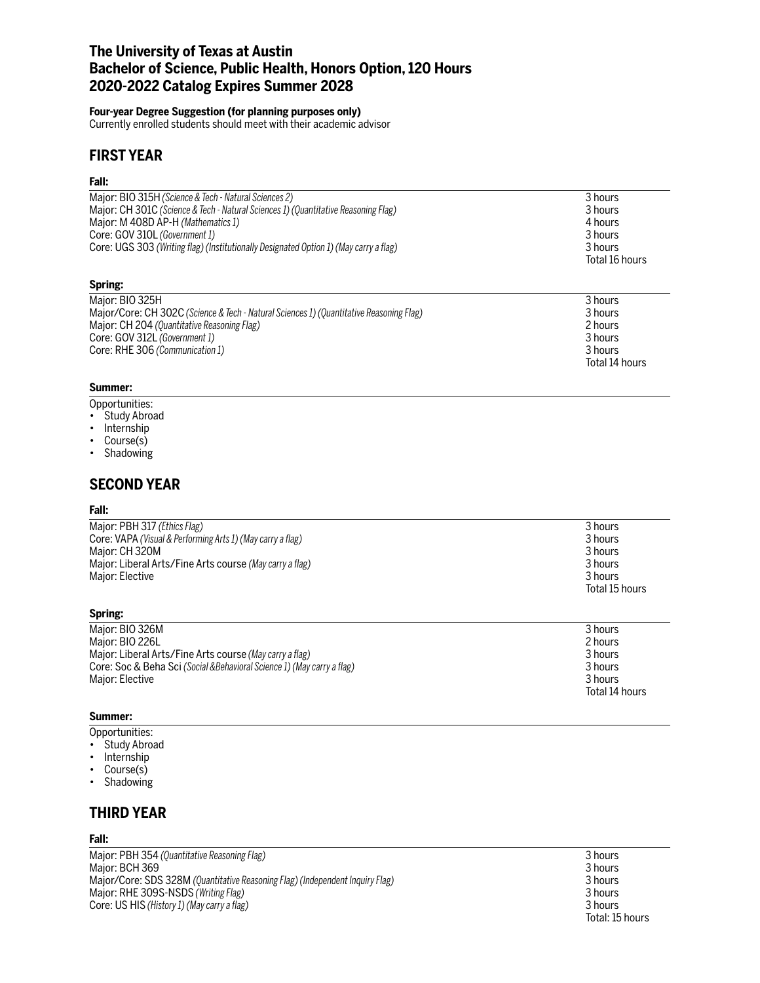# **The University of Texas at Austin Bachelor of Science, Public Health, Honors Option, 120 Hours 2020-2022 Catalog Expires Summer 2028**

### **Four-year Degree Suggestion (for planning purposes only)**

Currently enrolled students should meet with their academic advisor

# **FIRST YEAR**

## **Fall:**

| Major: BIO 315H (Science & Tech - Natural Sciences 2)                                   | 3 hours        |
|-----------------------------------------------------------------------------------------|----------------|
| Major: CH 301C (Science & Tech - Natural Sciences 1) (Quantitative Reasoning Flag)      | 3 hours        |
| Major: M 408D AP-H (Mathematics 1)                                                      | 4 hours        |
| Core: GOV 310L (Government 1)                                                           | 3 hours        |
| Core: UGS 303 (Writing flag) (Institutionally Designated Option 1) (May carry a flag)   | 3 hours        |
|                                                                                         | Total 16 hours |
| Spring:                                                                                 |                |
| Major: BIO 325H                                                                         | 3 hours        |
| Major/Core: CH 302C (Science & Tech - Natural Sciences 1) (Quantitative Reasoning Flag) | 3 hours        |
| Major: CH 204 (Quantitative Reasoning Flag)                                             | 2 hours        |
| Core: GOV 312L (Government 1)                                                           | 3 hours        |
| Core: RHE 306 (Communication 1)                                                         | 3 hours        |

#### **Summer:**

- Opportunities:
- Study Abroad
- Internship
- Course(s)
- Shadowing

## **SECOND YEAR**

#### **Fall:**

| 3 hours        |
|----------------|
| 3 hours        |
| 3 hours        |
| 3 hours        |
| 3 hours        |
| Total 15 hours |
|                |

## **Spring:**

| Major: BIO 326M                                                         | 3 hours        |
|-------------------------------------------------------------------------|----------------|
| Major: BIO 226L                                                         | 2 hours        |
| Major: Liberal Arts/Fine Arts course (May carry a flag)                 | 3 hours        |
| Core: Soc & Beha Sci (Social & Behavioral Science 1) (May carry a flag) | 3 hours        |
| Major: Elective                                                         | 3 hours        |
|                                                                         | Total 14 hours |

## **Summer:**

- Opportunities:
- Study Abroad
- Internship
- Course(s)
- Shadowing

# **THIRD YEAR**

## **Fall:**

Major: PBH 354 *(Quantitative Reasoning Flag)* 3 hours Major: BCH 369 3 hours Major/Core: SDS 328M *(Quantitative Reasoning Flag) (Independent Inquiry Flag)* 3 hours Major: RHE 309S-NSDS *(Writing Flag)* 3 hours Core: US HIS *(History 1) (May carry a flag)* 3 hours

Total: 15 hours

Total 14 hours